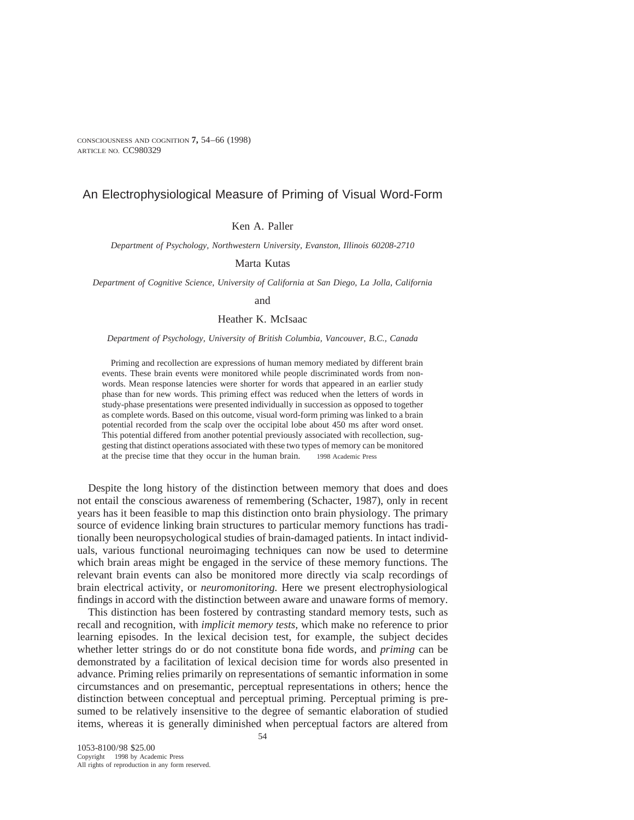# An Electrophysiological Measure of Priming of Visual Word-Form

Ken A. Paller

*Department of Psychology, Northwestern University, Evanston, Illinois 60208-2710*

Marta Kutas

*Department of Cognitive Science, University of California at San Diego, La Jolla, California*

and

## Heather K. McIsaac

*Department of Psychology, University of British Columbia, Vancouver, B.C., Canada*

Priming and recollection are expressions of human memory mediated by different brain events. These brain events were monitored while people discriminated words from nonwords. Mean response latencies were shorter for words that appeared in an earlier study phase than for new words. This priming effect was reduced when the letters of words in study-phase presentations were presented individually in succession as opposed to together as complete words. Based on this outcome, visual word-form priming was linked to a brain potential recorded from the scalp over the occipital lobe about 450 ms after word onset. This potential differed from another potential previously associated with recollection, suggesting that distinct operations associated with these two types of memory can be monitored at the precise time that they occur in the human brain.  $\circ$  1998 Academic Press

Despite the long history of the distinction between memory that does and does not entail the conscious awareness of remembering (Schacter, 1987), only in recent years has it been feasible to map this distinction onto brain physiology. The primary source of evidence linking brain structures to particular memory functions has traditionally been neuropsychological studies of brain-damaged patients. In intact individuals, various functional neuroimaging techniques can now be used to determine which brain areas might be engaged in the service of these memory functions. The relevant brain events can also be monitored more directly via scalp recordings of brain electrical activity, or *neuromonitoring.* Here we present electrophysiological findings in accord with the distinction between aware and unaware forms of memory.

This distinction has been fostered by contrasting standard memory tests, such as recall and recognition, with *implicit memory tests,* which make no reference to prior learning episodes. In the lexical decision test, for example, the subject decides whether letter strings do or do not constitute bona fide words, and *priming* can be demonstrated by a facilitation of lexical decision time for words also presented in advance. Priming relies primarily on representations of semantic information in some circumstances and on presemantic, perceptual representations in others; hence the distinction between conceptual and perceptual priming. Perceptual priming is presumed to be relatively insensitive to the degree of semantic elaboration of studied items, whereas it is generally diminished when perceptual factors are altered from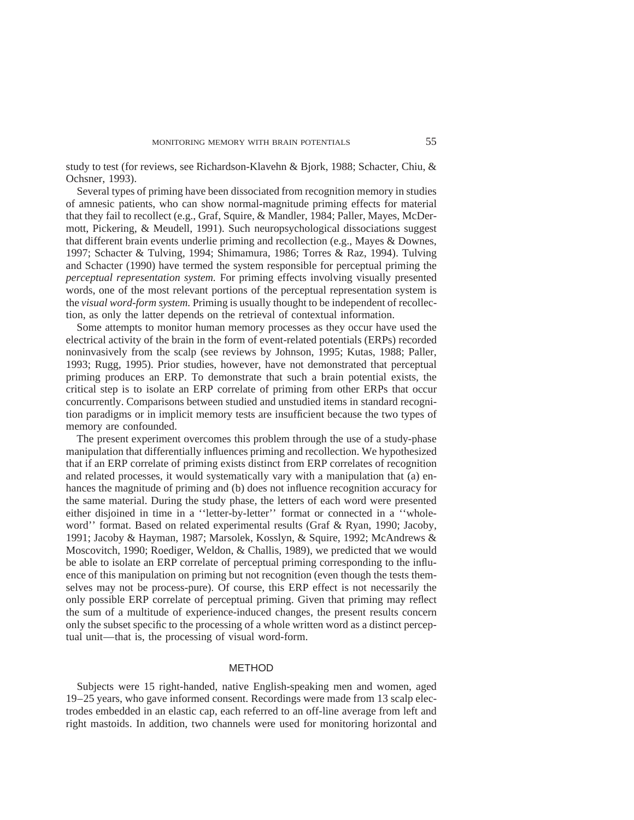study to test (for reviews, see Richardson-Klavehn & Bjork, 1988; Schacter, Chiu, & Ochsner, 1993).

Several types of priming have been dissociated from recognition memory in studies of amnesic patients, who can show normal-magnitude priming effects for material that they fail to recollect (e.g., Graf, Squire, & Mandler, 1984; Paller, Mayes, McDermott, Pickering, & Meudell, 1991). Such neuropsychological dissociations suggest that different brain events underlie priming and recollection (e.g., Mayes & Downes, 1997; Schacter & Tulving, 1994; Shimamura, 1986; Torres & Raz, 1994). Tulving and Schacter (1990) have termed the system responsible for perceptual priming the *perceptual representation system.* For priming effects involving visually presented words, one of the most relevant portions of the perceptual representation system is the *visual word-form system.* Priming is usually thought to be independent of recollection, as only the latter depends on the retrieval of contextual information.

Some attempts to monitor human memory processes as they occur have used the electrical activity of the brain in the form of event-related potentials (ERPs) recorded noninvasively from the scalp (see reviews by Johnson, 1995; Kutas, 1988; Paller, 1993; Rugg, 1995). Prior studies, however, have not demonstrated that perceptual priming produces an ERP. To demonstrate that such a brain potential exists, the critical step is to isolate an ERP correlate of priming from other ERPs that occur concurrently. Comparisons between studied and unstudied items in standard recognition paradigms or in implicit memory tests are insufficient because the two types of memory are confounded.

The present experiment overcomes this problem through the use of a study-phase manipulation that differentially influences priming and recollection. We hypothesized that if an ERP correlate of priming exists distinct from ERP correlates of recognition and related processes, it would systematically vary with a manipulation that (a) enhances the magnitude of priming and (b) does not influence recognition accuracy for the same material. During the study phase, the letters of each word were presented either disjoined in time in a ''letter-by-letter'' format or connected in a ''wholeword'' format. Based on related experimental results (Graf & Ryan, 1990; Jacoby, 1991; Jacoby & Hayman, 1987; Marsolek, Kosslyn, & Squire, 1992; McAndrews & Moscovitch, 1990; Roediger, Weldon, & Challis, 1989), we predicted that we would be able to isolate an ERP correlate of perceptual priming corresponding to the influence of this manipulation on priming but not recognition (even though the tests themselves may not be process-pure). Of course, this ERP effect is not necessarily the only possible ERP correlate of perceptual priming. Given that priming may reflect the sum of a multitude of experience-induced changes, the present results concern only the subset specific to the processing of a whole written word as a distinct perceptual unit—that is, the processing of visual word-form.

#### METHOD

Subjects were 15 right-handed, native English-speaking men and women, aged 19–25 years, who gave informed consent. Recordings were made from 13 scalp electrodes embedded in an elastic cap, each referred to an off-line average from left and right mastoids. In addition, two channels were used for monitoring horizontal and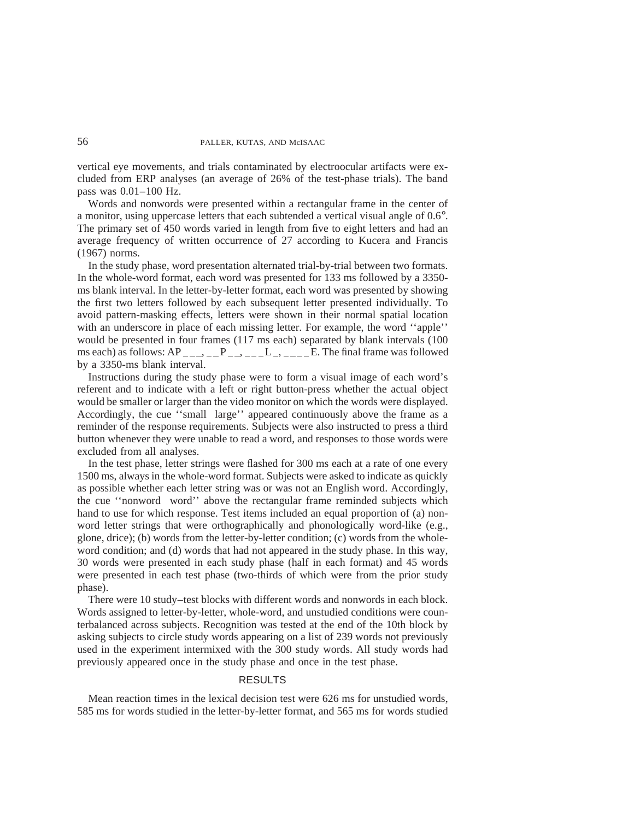vertical eye movements, and trials contaminated by electroocular artifacts were excluded from ERP analyses (an average of 26% of the test-phase trials). The band pass was 0.01–100 Hz.

Words and nonwords were presented within a rectangular frame in the center of a monitor, using uppercase letters that each subtended a vertical visual angle of 0.6°. The primary set of 450 words varied in length from five to eight letters and had an average frequency of written occurrence of 27 according to Kucera and Francis (1967) norms.

In the study phase, word presentation alternated trial-by-trial between two formats. In the whole-word format, each word was presented for 133 ms followed by a 3350 ms blank interval. In the letter-by-letter format, each word was presented by showing the first two letters followed by each subsequent letter presented individually. To avoid pattern-masking effects, letters were shown in their normal spatial location with an underscore in place of each missing letter. For example, the word ''apple'' would be presented in four frames (117 ms each) separated by blank intervals (100 ms each) as follows:  $AP_{---}$ ,  $P_{---}$ ,  $P_{---}$ ,  $L_{---}$ ,  $E$ . The final frame was followed by a 3350-ms blank interval.

Instructions during the study phase were to form a visual image of each word's referent and to indicate with a left or right button-press whether the actual object would be smaller or larger than the video monitor on which the words were displayed. Accordingly, the cue "small large" appeared continuously above the frame as a reminder of the response requirements. Subjects were also instructed to press a third button whenever they were unable to read a word, and responses to those words were excluded from all analyses.

In the test phase, letter strings were flashed for 300 ms each at a rate of one every 1500 ms, always in the whole-word format. Subjects were asked to indicate as quickly as possible whether each letter string was or was not an English word. Accordingly, the cue ''nonword word'' above the rectangular frame reminded subjects which hand to use for which response. Test items included an equal proportion of (a) nonword letter strings that were orthographically and phonologically word-like (e.g., glone, drice); (b) words from the letter-by-letter condition; (c) words from the wholeword condition; and (d) words that had not appeared in the study phase. In this way, 30 words were presented in each study phase (half in each format) and 45 words were presented in each test phase (two-thirds of which were from the prior study phase).

There were 10 study–test blocks with different words and nonwords in each block. Words assigned to letter-by-letter, whole-word, and unstudied conditions were counterbalanced across subjects. Recognition was tested at the end of the 10th block by asking subjects to circle study words appearing on a list of 239 words not previously used in the experiment intermixed with the 300 study words. All study words had previously appeared once in the study phase and once in the test phase.

## RESULTS

Mean reaction times in the lexical decision test were 626 ms for unstudied words, 585 ms for words studied in the letter-by-letter format, and 565 ms for words studied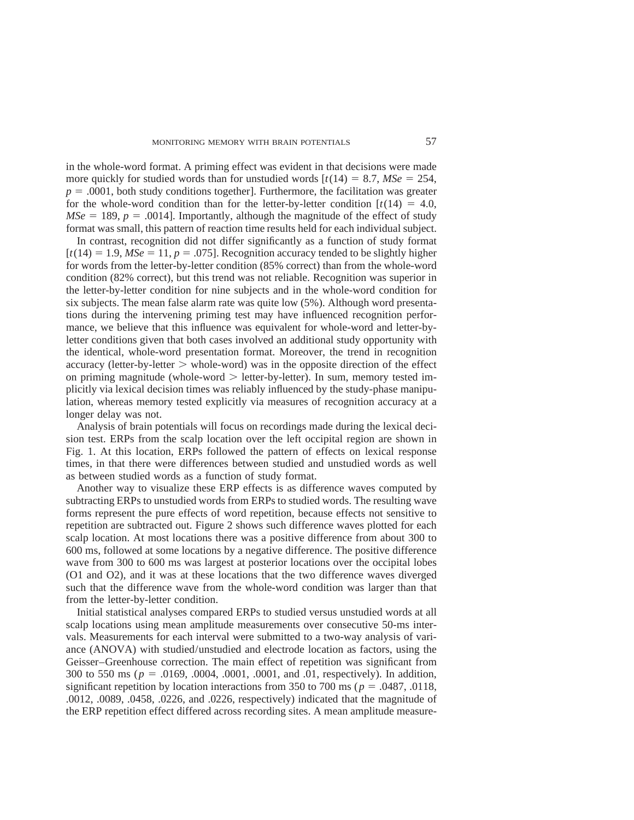in the whole-word format. A priming effect was evident in that decisions were made more quickly for studied words than for unstudied words  $[t(14) = 8.7, MSe = 254,$  $p = .0001$ , both study conditions together]. Furthermore, the facilitation was greater for the whole-word condition than for the letter-by-letter condition  $[t(14) = 4.0]$ ,  $MSe = 189$ ,  $p = .0014$ . Importantly, although the magnitude of the effect of study format was small, this pattern of reaction time results held for each individual subject.

In contrast, recognition did not differ significantly as a function of study format  $[t(14) = 1.9, MSe = 11, p = .075]$ . Recognition accuracy tended to be slightly higher for words from the letter-by-letter condition (85% correct) than from the whole-word condition (82% correct), but this trend was not reliable. Recognition was superior in the letter-by-letter condition for nine subjects and in the whole-word condition for six subjects. The mean false alarm rate was quite low (5%). Although word presentations during the intervening priming test may have influenced recognition performance, we believe that this influence was equivalent for whole-word and letter-byletter conditions given that both cases involved an additional study opportunity with the identical, whole-word presentation format. Moreover, the trend in recognition accuracy (letter-by-letter  $>$  whole-word) was in the opposite direction of the effect on priming magnitude (whole-word  $>$  letter-by-letter). In sum, memory tested implicitly via lexical decision times was reliably influenced by the study-phase manipulation, whereas memory tested explicitly via measures of recognition accuracy at a longer delay was not.

Analysis of brain potentials will focus on recordings made during the lexical decision test. ERPs from the scalp location over the left occipital region are shown in Fig. 1. At this location, ERPs followed the pattern of effects on lexical response times, in that there were differences between studied and unstudied words as well as between studied words as a function of study format.

Another way to visualize these ERP effects is as difference waves computed by subtracting ERPs to unstudied words from ERPs to studied words. The resulting wave forms represent the pure effects of word repetition, because effects not sensitive to repetition are subtracted out. Figure 2 shows such difference waves plotted for each scalp location. At most locations there was a positive difference from about 300 to 600 ms, followed at some locations by a negative difference. The positive difference wave from 300 to 600 ms was largest at posterior locations over the occipital lobes (O1 and O2), and it was at these locations that the two difference waves diverged such that the difference wave from the whole-word condition was larger than that from the letter-by-letter condition.

Initial statistical analyses compared ERPs to studied versus unstudied words at all scalp locations using mean amplitude measurements over consecutive 50-ms intervals. Measurements for each interval were submitted to a two-way analysis of variance (ANOVA) with studied/unstudied and electrode location as factors, using the Geisser–Greenhouse correction. The main effect of repetition was significant from 300 to 550 ms ( $p = .0169, .0004, .0001, .0001,$  and  $.01$ , respectively). In addition, significant repetition by location interactions from  $350$  to  $700$  ms ( $p = .0487, .0118$ , .0012, .0089, .0458, .0226, and .0226, respectively) indicated that the magnitude of the ERP repetition effect differed across recording sites. A mean amplitude measure-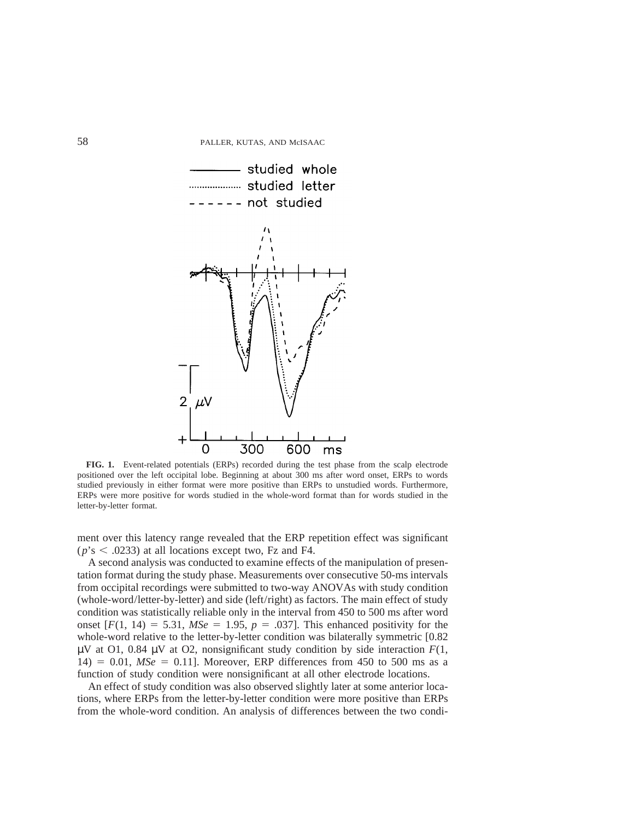

**FIG. 1.** Event-related potentials (ERPs) recorded during the test phase from the scalp electrode positioned over the left occipital lobe. Beginning at about 300 ms after word onset, ERPs to words studied previously in either format were more positive than ERPs to unstudied words. Furthermore, ERPs were more positive for words studied in the whole-word format than for words studied in the letter-by-letter format.

ment over this latency range revealed that the ERP repetition effect was significant  $(p's < .0233)$  at all locations except two, Fz and F4.

A second analysis was conducted to examine effects of the manipulation of presentation format during the study phase. Measurements over consecutive 50-ms intervals from occipital recordings were submitted to two-way ANOVAs with study condition (whole-word/letter-by-letter) and side (left/right) as factors. The main effect of study condition was statistically reliable only in the interval from 450 to 500 ms after word onset  $[F(1, 14) = 5.31, MSe = 1.95, p = .037]$ . This enhanced positivity for the whole-word relative to the letter-by-letter condition was bilaterally symmetric [0.82  $\mu$ V at O1, 0.84  $\mu$ V at O2, nonsignificant study condition by side interaction  $F(1)$ ,  $14$ ) = 0.01,  $MSe$  = 0.11]. Moreover, ERP differences from 450 to 500 ms as a function of study condition were nonsignificant at all other electrode locations.

An effect of study condition was also observed slightly later at some anterior locations, where ERPs from the letter-by-letter condition were more positive than ERPs from the whole-word condition. An analysis of differences between the two condi-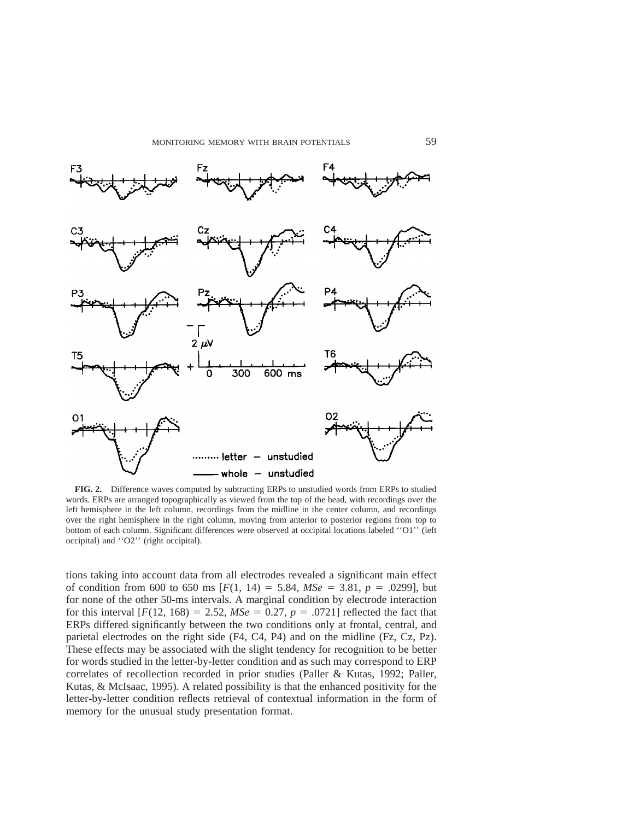

**FIG. 2.** Difference waves computed by subtracting ERPs to unstudied words from ERPs to studied words. ERPs are arranged topographically as viewed from the top of the head, with recordings over the left hemisphere in the left column, recordings from the midline in the center column, and recordings over the right hemisphere in the right column, moving from anterior to posterior regions from top to bottom of each column. Significant differences were observed at occipital locations labeled ''O1'' (left occipital) and ''O2'' (right occipital).

tions taking into account data from all electrodes revealed a significant main effect of condition from 600 to 650 ms  $[F(1, 14) = 5.84, MSe = 3.81, p = .0299]$ , but for none of the other 50-ms intervals. A marginal condition by electrode interaction for this interval  $[F(12, 168) = 2.52, MSe = 0.27, p = .0721]$  reflected the fact that ERPs differed significantly between the two conditions only at frontal, central, and parietal electrodes on the right side (F4, C4, P4) and on the midline (Fz, Cz, Pz). These effects may be associated with the slight tendency for recognition to be better for words studied in the letter-by-letter condition and as such may correspond to ERP correlates of recollection recorded in prior studies (Paller & Kutas, 1992; Paller, Kutas, & McIsaac, 1995). A related possibility is that the enhanced positivity for the letter-by-letter condition reflects retrieval of contextual information in the form of memory for the unusual study presentation format.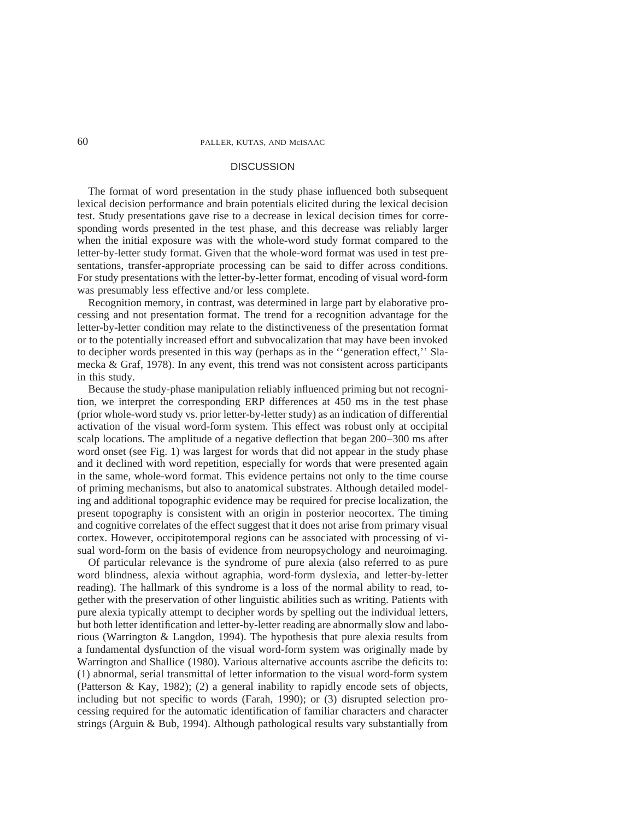### **DISCUSSION**

The format of word presentation in the study phase influenced both subsequent lexical decision performance and brain potentials elicited during the lexical decision test. Study presentations gave rise to a decrease in lexical decision times for corresponding words presented in the test phase, and this decrease was reliably larger when the initial exposure was with the whole-word study format compared to the letter-by-letter study format. Given that the whole-word format was used in test presentations, transfer-appropriate processing can be said to differ across conditions. For study presentations with the letter-by-letter format, encoding of visual word-form was presumably less effective and/or less complete.

Recognition memory, in contrast, was determined in large part by elaborative processing and not presentation format. The trend for a recognition advantage for the letter-by-letter condition may relate to the distinctiveness of the presentation format or to the potentially increased effort and subvocalization that may have been invoked to decipher words presented in this way (perhaps as in the ''generation effect,'' Slamecka & Graf, 1978). In any event, this trend was not consistent across participants in this study.

Because the study-phase manipulation reliably influenced priming but not recognition, we interpret the corresponding ERP differences at 450 ms in the test phase (prior whole-word study vs. prior letter-by-letter study) as an indication of differential activation of the visual word-form system. This effect was robust only at occipital scalp locations. The amplitude of a negative deflection that began 200–300 ms after word onset (see Fig. 1) was largest for words that did not appear in the study phase and it declined with word repetition, especially for words that were presented again in the same, whole-word format. This evidence pertains not only to the time course of priming mechanisms, but also to anatomical substrates. Although detailed modeling and additional topographic evidence may be required for precise localization, the present topography is consistent with an origin in posterior neocortex. The timing and cognitive correlates of the effect suggest that it does not arise from primary visual cortex. However, occipitotemporal regions can be associated with processing of visual word-form on the basis of evidence from neuropsychology and neuroimaging.

Of particular relevance is the syndrome of pure alexia (also referred to as pure word blindness, alexia without agraphia, word-form dyslexia, and letter-by-letter reading). The hallmark of this syndrome is a loss of the normal ability to read, together with the preservation of other linguistic abilities such as writing. Patients with pure alexia typically attempt to decipher words by spelling out the individual letters, but both letter identification and letter-by-letter reading are abnormally slow and laborious (Warrington & Langdon, 1994). The hypothesis that pure alexia results from a fundamental dysfunction of the visual word-form system was originally made by Warrington and Shallice (1980). Various alternative accounts ascribe the deficits to: (1) abnormal, serial transmittal of letter information to the visual word-form system (Patterson & Kay, 1982); (2) a general inability to rapidly encode sets of objects, including but not specific to words (Farah, 1990); or (3) disrupted selection processing required for the automatic identification of familiar characters and character strings (Arguin & Bub, 1994). Although pathological results vary substantially from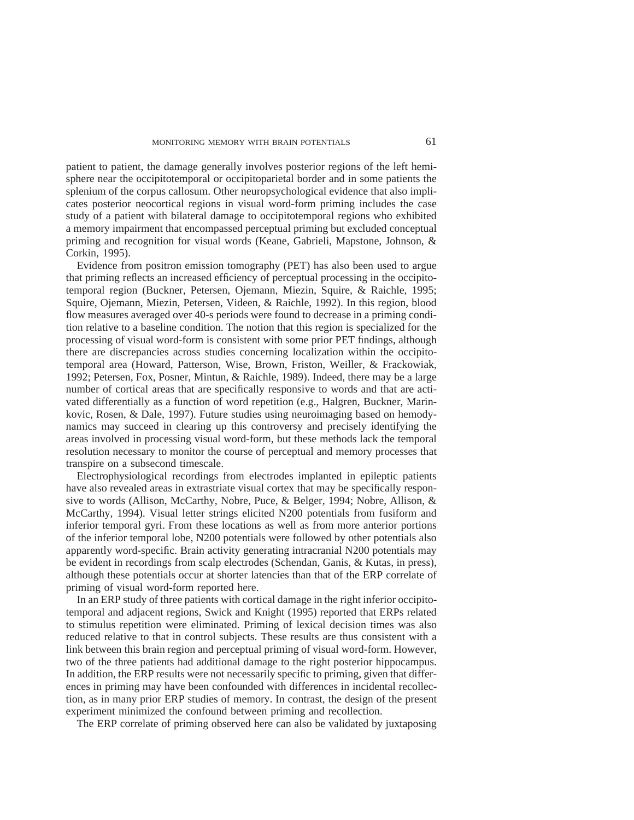patient to patient, the damage generally involves posterior regions of the left hemisphere near the occipitotemporal or occipitoparietal border and in some patients the splenium of the corpus callosum. Other neuropsychological evidence that also implicates posterior neocortical regions in visual word-form priming includes the case study of a patient with bilateral damage to occipitotemporal regions who exhibited a memory impairment that encompassed perceptual priming but excluded conceptual priming and recognition for visual words (Keane, Gabrieli, Mapstone, Johnson, & Corkin, 1995).

Evidence from positron emission tomography (PET) has also been used to argue that priming reflects an increased efficiency of perceptual processing in the occipitotemporal region (Buckner, Petersen, Ojemann, Miezin, Squire, & Raichle, 1995; Squire, Ojemann, Miezin, Petersen, Videen, & Raichle, 1992). In this region, blood flow measures averaged over 40-s periods were found to decrease in a priming condition relative to a baseline condition. The notion that this region is specialized for the processing of visual word-form is consistent with some prior PET findings, although there are discrepancies across studies concerning localization within the occipitotemporal area (Howard, Patterson, Wise, Brown, Friston, Weiller, & Frackowiak, 1992; Petersen, Fox, Posner, Mintun, & Raichle, 1989). Indeed, there may be a large number of cortical areas that are specifically responsive to words and that are activated differentially as a function of word repetition (e.g., Halgren, Buckner, Marinkovic, Rosen, & Dale, 1997). Future studies using neuroimaging based on hemodynamics may succeed in clearing up this controversy and precisely identifying the areas involved in processing visual word-form, but these methods lack the temporal resolution necessary to monitor the course of perceptual and memory processes that transpire on a subsecond timescale.

Electrophysiological recordings from electrodes implanted in epileptic patients have also revealed areas in extrastriate visual cortex that may be specifically responsive to words (Allison, McCarthy, Nobre, Puce, & Belger, 1994; Nobre, Allison, & McCarthy, 1994). Visual letter strings elicited N200 potentials from fusiform and inferior temporal gyri. From these locations as well as from more anterior portions of the inferior temporal lobe, N200 potentials were followed by other potentials also apparently word-specific. Brain activity generating intracranial N200 potentials may be evident in recordings from scalp electrodes (Schendan, Ganis, & Kutas, in press), although these potentials occur at shorter latencies than that of the ERP correlate of priming of visual word-form reported here.

In an ERP study of three patients with cortical damage in the right inferior occipitotemporal and adjacent regions, Swick and Knight (1995) reported that ERPs related to stimulus repetition were eliminated. Priming of lexical decision times was also reduced relative to that in control subjects. These results are thus consistent with a link between this brain region and perceptual priming of visual word-form. However, two of the three patients had additional damage to the right posterior hippocampus. In addition, the ERP results were not necessarily specific to priming, given that differences in priming may have been confounded with differences in incidental recollection, as in many prior ERP studies of memory. In contrast, the design of the present experiment minimized the confound between priming and recollection.

The ERP correlate of priming observed here can also be validated by juxtaposing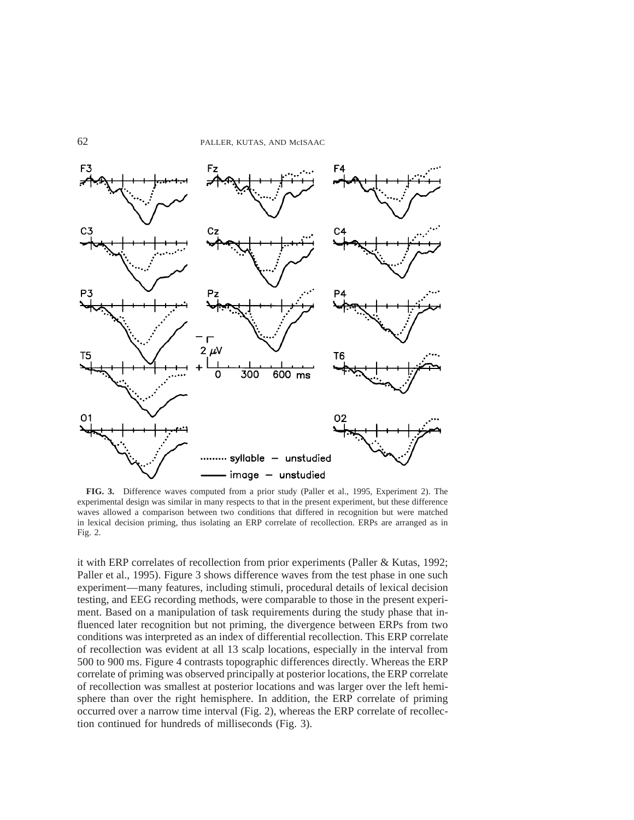

**FIG. 3.** Difference waves computed from a prior study (Paller et al., 1995, Experiment 2). The experimental design was similar in many respects to that in the present experiment, but these difference waves allowed a comparison between two conditions that differed in recognition but were matched in lexical decision priming, thus isolating an ERP correlate of recollection. ERPs are arranged as in Fig. 2.

it with ERP correlates of recollection from prior experiments (Paller & Kutas, 1992; Paller et al., 1995). Figure 3 shows difference waves from the test phase in one such experiment—many features, including stimuli, procedural details of lexical decision testing, and EEG recording methods, were comparable to those in the present experiment. Based on a manipulation of task requirements during the study phase that influenced later recognition but not priming, the divergence between ERPs from two conditions was interpreted as an index of differential recollection. This ERP correlate of recollection was evident at all 13 scalp locations, especially in the interval from 500 to 900 ms. Figure 4 contrasts topographic differences directly. Whereas the ERP correlate of priming was observed principally at posterior locations, the ERP correlate of recollection was smallest at posterior locations and was larger over the left hemisphere than over the right hemisphere. In addition, the ERP correlate of priming occurred over a narrow time interval (Fig. 2), whereas the ERP correlate of recollection continued for hundreds of milliseconds (Fig. 3).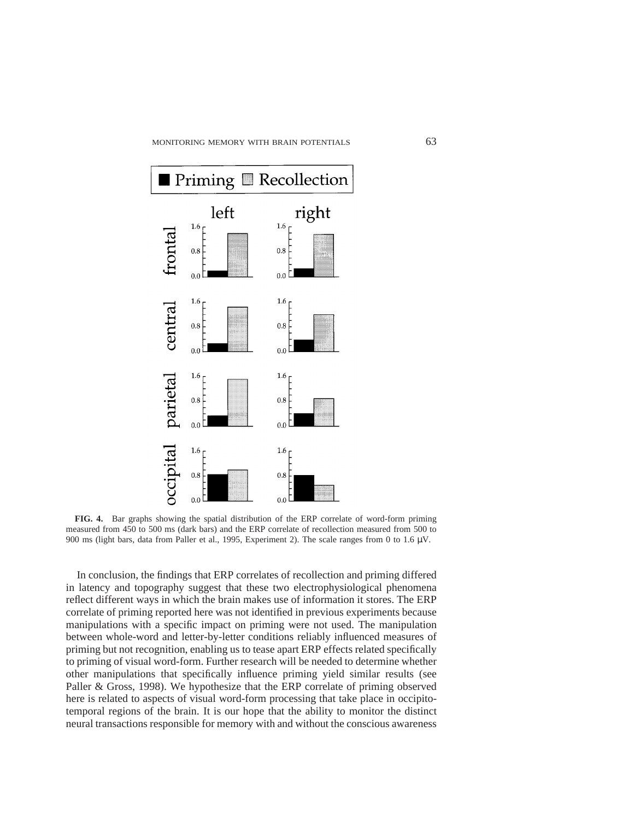

**FIG. 4.** Bar graphs showing the spatial distribution of the ERP correlate of word-form priming measured from 450 to 500 ms (dark bars) and the ERP correlate of recollection measured from 500 to 900 ms (light bars, data from Paller et al., 1995, Experiment 2). The scale ranges from 0 to 1.6 µV.

In conclusion, the findings that ERP correlates of recollection and priming differed in latency and topography suggest that these two electrophysiological phenomena reflect different ways in which the brain makes use of information it stores. The ERP correlate of priming reported here was not identified in previous experiments because manipulations with a specific impact on priming were not used. The manipulation between whole-word and letter-by-letter conditions reliably influenced measures of priming but not recognition, enabling us to tease apart ERP effects related specifically to priming of visual word-form. Further research will be needed to determine whether other manipulations that specifically influence priming yield similar results (see Paller & Gross, 1998). We hypothesize that the ERP correlate of priming observed here is related to aspects of visual word-form processing that take place in occipitotemporal regions of the brain. It is our hope that the ability to monitor the distinct neural transactions responsible for memory with and without the conscious awareness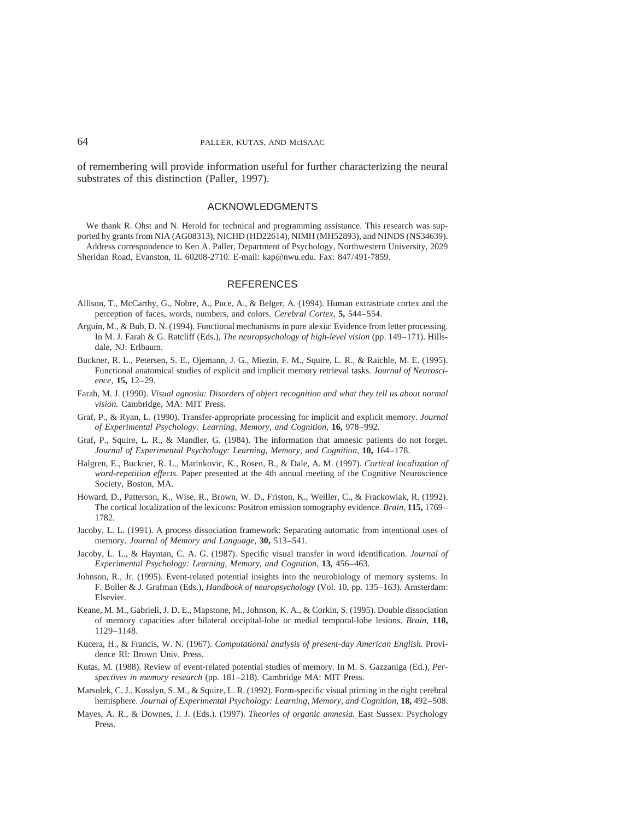of remembering will provide information useful for further characterizing the neural substrates of this distinction (Paller, 1997).

### ACKNOWLEDGMENTS

We thank R. Ohst and N. Herold for technical and programming assistance. This research was supported by grants from NIA (AG08313), NICHD (HD22614), NIMH (MH52893), and NINDS (NS34639). Address correspondence to Ken A. Paller, Department of Psychology, Northwestern University, 2029 Sheridan Road, Evanston, IL 60208-2710. E-mail: kap@nwu.edu. Fax: 847/491-7859.

#### **REFERENCES**

- Allison, T., McCarthy, G., Nobre, A., Puce, A., & Belger, A. (1994). Human extrastriate cortex and the perception of faces, words, numbers, and colors. *Cerebral Cortex,* **5,** 544–554.
- Arguin, M., & Bub, D. N. (1994). Functional mechanisms in pure alexia: Evidence from letter processing. In M. J. Farah & G. Ratcliff (Eds.), *The neuropsychology of high-level vision* (pp. 149–171). Hillsdale, NJ: Erlbaum.
- Buckner, R. L., Petersen, S. E., Ojemann, J. G., Miezin, F. M., Squire, L. R., & Raichle, M. E. (1995). Functional anatomical studies of explicit and implicit memory retrieval tasks. *Journal of Neuroscience,* **15,** 12–29.
- Farah, M. J. (1990). *Visual agnosia: Disorders of object recognition and what they tell us about normal vision.* Cambridge, MA: MIT Press.
- Graf, P., & Ryan, L. (1990). Transfer-appropriate processing for implicit and explicit memory. *Journal of Experimental Psychology: Learning, Memory, and Cognition,* **16,** 978–992.
- Graf, P., Squire, L. R., & Mandler, G. (1984). The information that amnesic patients do not forget. *Journal of Experimental Psychology: Learning, Memory, and Cognition,* **10,** 164–178.
- Halgren, E., Buckner, R. L., Marinkovic, K., Rosen, B., & Dale, A. M. (1997). *Cortical localization of word-repetition effects.* Paper presented at the 4th annual meeting of the Cognitive Neuroscience Society, Boston, MA.
- Howard, D., Patterson, K., Wise, R., Brown, W. D., Friston, K., Weiller, C., & Frackowiak, R. (1992). The cortical localization of the lexicons: Positron emission tomography evidence. *Brain,* **115,** 1769– 1782.
- Jacoby, L. L. (1991). A process dissociation framework: Separating automatic from intentional uses of memory. *Journal of Memory and Language,* **30,** 513–541.
- Jacoby, L. L., & Hayman, C. A. G. (1987). Specific visual transfer in word identification. *Journal of Experimental Psychology: Learning, Memory, and Cognition,* **13,** 456–463.
- Johnson, R., Jr. (1995). Event-related potential insights into the neurobiology of memory systems. In F. Boller & J. Grafman (Eds.), *Handbook of neuropsychology* (Vol. 10, pp. 135–163). Amsterdam: Elsevier.
- Keane, M. M., Gabrieli, J. D. E., Mapstone, M., Johnson, K. A., & Corkin, S. (1995). Double dissociation of memory capacities after bilateral occipital-lobe or medial temporal-lobe lesions. *Brain,* **118,** 1129–1148.
- Kucera, H., & Francis, W. N. (1967). *Computational analysis of present-day American English.* Providence RI: Brown Univ. Press.
- Kutas, M. (1988). Review of event-related potential studies of memory. In M. S. Gazzaniga (Ed.), *Perspectives in memory research* (pp. 181–218). Cambridge MA: MIT Press.
- Marsolek, C. J., Kosslyn, S. M., & Squire, L. R. (1992). Form-specific visual priming in the right cerebral hemisphere. *Journal of Experimental Psychology: Learning, Memory, and Cognition,* **18,** 492–508.
- Mayes, A. R., & Downes, J. J. (Eds.). (1997). *Theories of organic amnesia.* East Sussex: Psychology Press.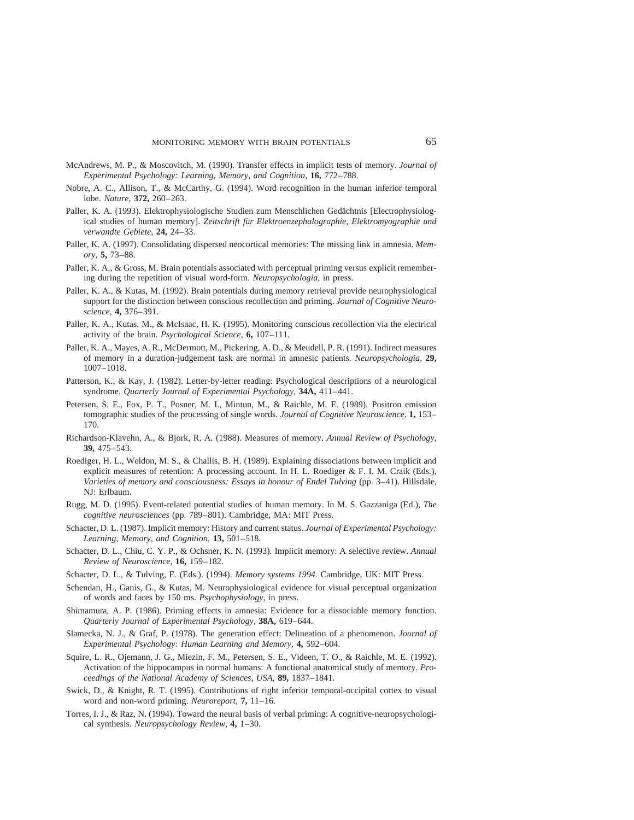- McAndrews, M. P., & Moscovitch, M. (1990). Transfer effects in implicit tests of memory. *Journal of Experimental Psychology: Learning, Memory, and Cognition,* **16,** 772–788.
- Nobre, A. C., Allison, T., & McCarthy, G. (1994). Word recognition in the human inferior temporal lobe. *Nature,* **372,** 260–263.
- Paller, K. A. (1993). Elektrophysiologische Studien zum Menschlichen Gedächtnis [Electrophysiological studies of human memory]. *Zeitschrift fu¨r Elektroenzephalographie, Elektromyographie und verwandte Gebiete,* **24,** 24–33.
- Paller, K. A. (1997). Consolidating dispersed neocortical memories: The missing link in amnesia. *Memory,* **5,** 73–88.
- Paller, K. A., & Gross, M. Brain potentials associated with perceptual priming versus explicit remembering during the repetition of visual word-form. *Neuropsychologia,* in press.
- Paller, K. A., & Kutas, M. (1992). Brain potentials during memory retrieval provide neurophysiological support for the distinction between conscious recollection and priming. *Journal of Cognitive Neuroscience,* **4,** 376–391.
- Paller, K. A., Kutas, M., & McIsaac, H. K. (1995). Monitoring conscious recollection via the electrical activity of the brain. *Psychological Science,* **6,** 107–111.
- Paller, K. A., Mayes, A. R., McDermott, M., Pickering, A. D., & Meudell, P. R. (1991). Indirect measures of memory in a duration-judgement task are normal in amnesic patients. *Neuropsychologia,* **29,** 1007–1018.
- Patterson, K., & Kay, J. (1982). Letter-by-letter reading: Psychological descriptions of a neurological syndrome. *Quarterly Journal of Experimental Psychology,* **34A,** 411–441.
- Petersen, S. E., Fox, P. T., Posner, M. I., Mintun, M., & Raichle, M. E. (1989). Positron emission tomographic studies of the processing of single words. *Journal of Cognitive Neuroscience,* **1,** 153– 170.
- Richardson-Klavehn, A., & Bjork, R. A. (1988). Measures of memory. *Annual Review of Psychology,* **39,** 475–543.
- Roediger, H. L., Weldon, M. S., & Challis, B. H. (1989). Explaining dissociations between implicit and explicit measures of retention: A processing account. In H. L. Roediger & F. I. M. Craik (Eds.), *Varieties of memory and consciousness: Essays in honour of Endel Tulving* (pp. 3–41). Hillsdale, NJ: Erlbaum.
- Rugg, M. D. (1995). Event-related potential studies of human memory. In M. S. Gazzaniga (Ed.), *The cognitive neurosciences* (pp. 789–801). Cambridge, MA: MIT Press.
- Schacter, D. L. (1987). Implicit memory: History and current status. *Journal of Experimental Psychology: Learning, Memory, and Cognition,* **13,** 501–518.
- Schacter, D. L., Chiu, C. Y. P., & Ochsner, K. N. (1993). Implicit memory: A selective review. *Annual Review of Neuroscience,* **16,** 159–182.
- Schacter, D. L., & Tulving, E. (Eds.). (1994). *Memory systems 1994.* Cambridge, UK: MIT Press.
- Schendan, H., Ganis, G., & Kutas, M. Neurophysiological evidence for visual perceptual organization of words and faces by 150 ms. *Psychophysiology,* in press.
- Shimamura, A. P. (1986). Priming effects in amnesia: Evidence for a dissociable memory function. *Quarterly Journal of Experimental Psychology,* **38A,** 619–644.
- Slamecka, N. J., & Graf, P. (1978). The generation effect: Delineation of a phenomenon. *Journal of Experimental Psychology: Human Learning and Memory,* **4,** 592–604.
- Squire, L. R., Ojemann, J. G., Miezin, F. M., Petersen, S. E., Videen, T. O., & Raichle, M. E. (1992). Activation of the hippocampus in normal humans: A functional anatomical study of memory. *Proceedings of the National Academy of Sciences, USA,* **89,** 1837–1841.
- Swick, D., & Knight, R. T. (1995). Contributions of right inferior temporal-occipital cortex to visual word and non-word priming. *Neuroreport,* **7,** 11–16.
- Torres, I. J., & Raz, N. (1994). Toward the neural basis of verbal priming: A cognitive-neuropsychological synthesis. *Neuropsychology Review,* **4,** 1–30.